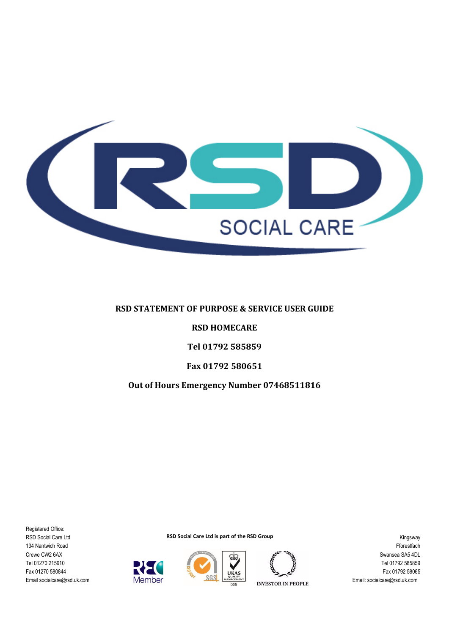

### **RSD STATEMENT OF PURPOSE & SERVICE USER GUIDE**

#### **RSD HOMECARE**

**Tel 01792 585859** 

#### **Fax 01792 580651**

#### **Out of Hours Emergency Number 07468511816**

Registered Office: RSD Social Care Ltd 134 Nantwich Road Crewe CW2 6AX Tel 01270 215910 Fax 01270 580844 Email socialcare@rsd.uk.com

**RSD Social Care Ltd is part of the RSD Group** 



Member



**INVESTOR IN PEOPLE**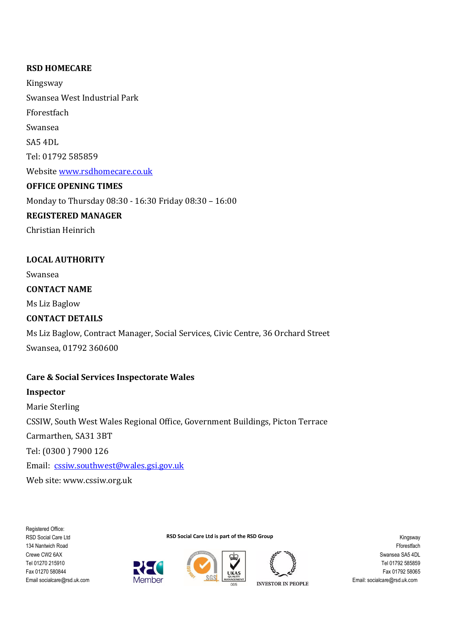## **RSD HOMECARE**

Kingsway Swansea West Industrial Park Fforestfach Swansea SA5 4DL Tel: 01792 585859 Website www.rsdhomecare.co.uk **OFFICE OPENING TIMES**  Monday to Thursday 08:30 - 16:30 Friday 08:30 – 16:00 **REGISTERED MANAGER** 

Christian Heinrich

## **LOCAL AUTHORITY**

Swansea

### **CONTACT NAME**

Ms Liz Baglow

## **CONTACT DETAILS**

Ms Liz Baglow, Contract Manager, Social Services, Civic Centre, 36 Orchard Street Swansea, 01792 360600

# **Care & Social Services Inspectorate Wales**

**Inspector**  Marie Sterling CSSIW, South West Wales Regional Office, Government Buildings, Picton Terrace Carmarthen, SA31 3BT Tel: (0300 ) 7900 126 Email: cssiw.southwest@wales.gsi.gov.uk Web site: www.cssiw.org.uk

Registered Office: RSD Social Care Ltd 134 Nantwich Road Crewe CW2 6AX Tel 01270 215910 Fax 01270 580844 Email socialcare@rsd.uk.com







**RSD Social Care Ltd is part of the RSD Group** 

**INVESTOR IN PEOPLE**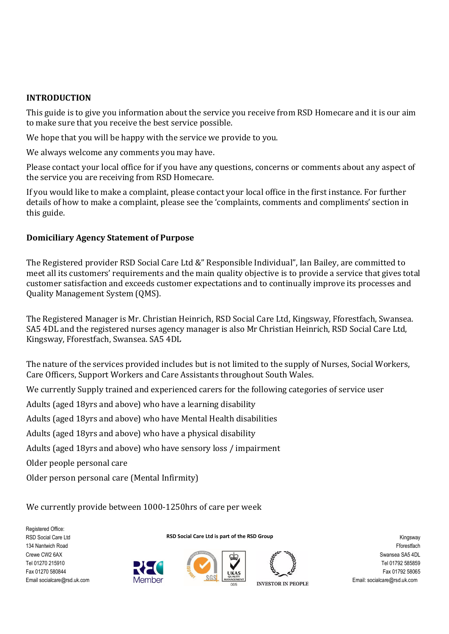#### **INTRODUCTION**

This guide is to give you information about the service you receive from RSD Homecare and it is our aim to make sure that you receive the best service possible.

We hope that you will be happy with the service we provide to you.

We always welcome any comments you may have.

Please contact your local office for if you have any questions, concerns or comments about any aspect of the service you are receiving from RSD Homecare.

If you would like to make a complaint, please contact your local office in the first instance. For further details of how to make a complaint, please see the 'complaints, comments and compliments' section in this guide.

## **Domiciliary Agency Statement of Purpose**

The Registered provider RSD Social Care Ltd &" Responsible Individual", Ian Bailey, are committed to meet all its customers' requirements and the main quality objective is to provide a service that gives total customer satisfaction and exceeds customer expectations and to continually improve its processes and Quality Management System (QMS).

The Registered Manager is Mr. Christian Heinrich, RSD Social Care Ltd, Kingsway, Fforestfach, Swansea. SA5 4DL and the registered nurses agency manager is also Mr Christian Heinrich, RSD Social Care Ltd, Kingsway, Fforestfach, Swansea. SA5 4DL

The nature of the services provided includes but is not limited to the supply of Nurses, Social Workers, Care Officers, Support Workers and Care Assistants throughout South Wales.

**RSD Social Care Ltd is part of the RSD Group** 

We currently Supply trained and experienced carers for the following categories of service user

Adults (aged 18yrs and above) who have a learning disability

Adults (aged 18yrs and above) who have Mental Health disabilities

Adults (aged 18yrs and above) who have a physical disability

Adults (aged 18yrs and above) who have sensory loss / impairment

Older people personal care

Older person personal care (Mental Infirmity)

We currently provide between 1000-1250hrs of care per week

Registered Office: RSD Social Care Ltd 134 Nantwich Road Crewe CW2 6AX Tel 01270 215910 Fax 01270 580844 Email socialcare@rsd.uk.com







**INVESTOR IN PEOPLE**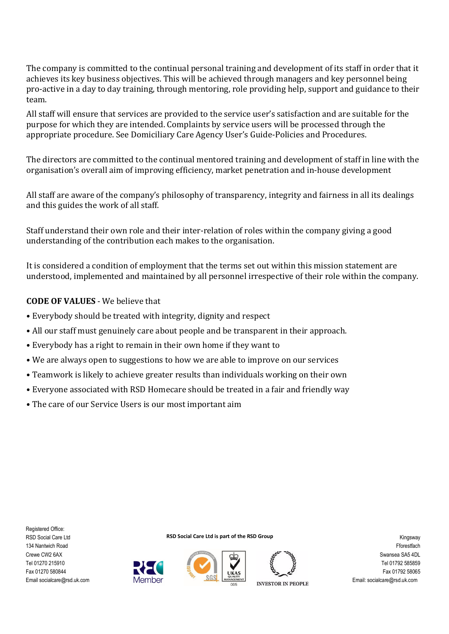The company is committed to the continual personal training and development of its staff in order that it achieves its key business objectives. This will be achieved through managers and key personnel being pro-active in a day to day training, through mentoring, role providing help, support and guidance to their team.

All staff will ensure that services are provided to the service user's satisfaction and are suitable for the purpose for which they are intended. Complaints by service users will be processed through the appropriate procedure. See Domiciliary Care Agency User's Guide-Policies and Procedures.

The directors are committed to the continual mentored training and development of staff in line with the organisation's overall aim of improving efficiency, market penetration and in-house development

All staff are aware of the company's philosophy of transparency, integrity and fairness in all its dealings and this guides the work of all staff.

Staff understand their own role and their inter-relation of roles within the company giving a good understanding of the contribution each makes to the organisation.

It is considered a condition of employment that the terms set out within this mission statement are understood, implemented and maintained by all personnel irrespective of their role within the company.

## **CODE OF VALUES** - We believe that

- Everybody should be treated with integrity, dignity and respect
- All our staff must genuinely care about people and be transparent in their approach.
- Everybody has a right to remain in their own home if they want to
- We are always open to suggestions to how we are able to improve on our services
- Teamwork is likely to achieve greater results than individuals working on their own
- Everyone associated with RSD Homecare should be treated in a fair and friendly way
- The care of our Service Users is our most important aim

Member

**RSD Social Care Ltd is part of the RSD Group** 





**INVESTOR IN PEOPLE**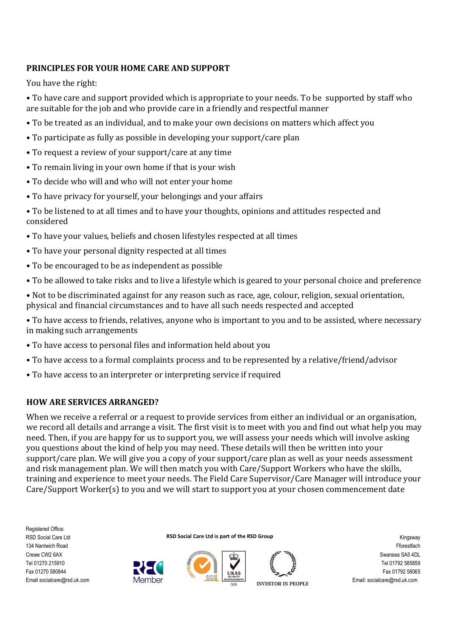# **PRINCIPLES FOR YOUR HOME CARE AND SUPPORT**

You have the right:

• To have care and support provided which is appropriate to your needs. To be supported by staff who are suitable for the job and who provide care in a friendly and respectful manner

- To be treated as an individual, and to make your own decisions on matters which affect you
- To participate as fully as possible in developing your support/care plan
- To request a review of your support/care at any time
- To remain living in your own home if that is your wish
- To decide who will and who will not enter your home
- To have privacy for yourself, your belongings and your affairs
- To be listened to at all times and to have your thoughts, opinions and attitudes respected and considered
- To have your values, beliefs and chosen lifestyles respected at all times
- To have your personal dignity respected at all times
- To be encouraged to be as independent as possible
- To be allowed to take risks and to live a lifestyle which is geared to your personal choice and preference
- Not to be discriminated against for any reason such as race, age, colour, religion, sexual orientation, physical and financial circumstances and to have all such needs respected and accepted
- To have access to friends, relatives, anyone who is important to you and to be assisted, where necessary in making such arrangements
- To have access to personal files and information held about you
- To have access to a formal complaints process and to be represented by a relative/friend/advisor
- To have access to an interpreter or interpreting service if required

Member

# **HOW ARE SERVICES ARRANGED?**

When we receive a referral or a request to provide services from either an individual or an organisation, we record all details and arrange a visit. The first visit is to meet with you and find out what help you may need. Then, if you are happy for us to support you, we will assess your needs which will involve asking you questions about the kind of help you may need. These details will then be written into your support/care plan. We will give you a copy of your support/care plan as well as your needs assessment and risk management plan. We will then match you with Care/Support Workers who have the skills, training and experience to meet your needs. The Field Care Supervisor/Care Manager will introduce your Care/Support Worker(s) to you and we will start to support you at your chosen commencement date

Registered Office: RSD Social Care Ltd 134 Nantwich Road Crewe CW2 6AX Tel 01270 215910 Fax 01270 580844 Email socialcare@rsd.uk.com

**RSD Social Care Ltd is part of the RSD Group** 





**INVESTOR IN PEOPLE**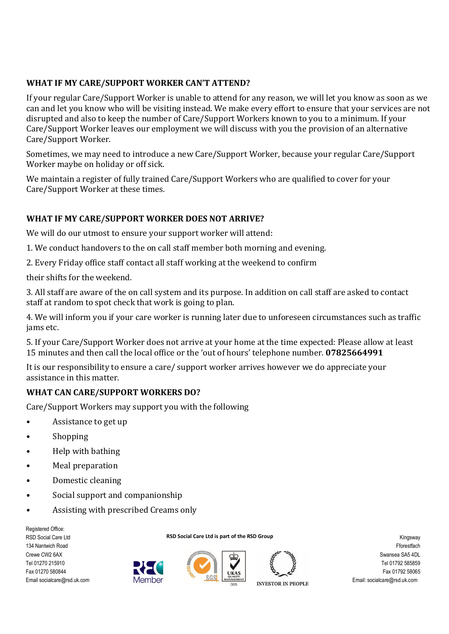# **WHAT IF MY CARE/SUPPORT WORKER CAN'T ATTEND?**

If your regular Care/Support Worker is unable to attend for any reason, we will let you know as soon as we can and let you know who will be visiting instead. We make every effort to ensure that your services are not disrupted and also to keep the number of Care/Support Workers known to you to a minimum. If your Care/Support Worker leaves our employment we will discuss with you the provision of an alternative Care/Support Worker.

Sometimes, we may need to introduce a new Care/Support Worker, because your regular Care/Support Worker maybe on holiday or off sick.

We maintain a register of fully trained Care/Support Workers who are qualified to cover for your Care/Support Worker at these times.

# **WHAT IF MY CARE/SUPPORT WORKER DOES NOT ARRIVE?**

We will do our utmost to ensure your support worker will attend:

- 1. We conduct handovers to the on call staff member both morning and evening.
- 2. Every Friday office staff contact all staff working at the weekend to confirm

their shifts for the weekend.

3. All staff are aware of the on call system and its purpose. In addition on call staff are asked to contact staff at random to spot check that work is going to plan.

4. We will inform you if your care worker is running later due to unforeseen circumstances such as traffic jams etc.

5. If your Care/Support Worker does not arrive at your home at the time expected: Please allow at least 15 minutes and then call the local office or the 'out of hours' telephone number. **07825664991**

It is our responsibility to ensure a care/ support worker arrives however we do appreciate your assistance in this matter.

# **WHAT CAN CARE/SUPPORT WORKERS DO?**

Care/Support Workers may support you with the following

- Assistance to get up
- Shopping
- Help with bathing
- Meal preparation
- Domestic cleaning
- Social support and companionship
- Assisting with prescribed Creams only

Registered Office: RSD Social Care Ltd 134 Nantwich Road Crewe CW2 6AX Tel 01270 215910 Fax 01270 580844 Email socialcare@rsd.uk.com





**RSD Social Care Ltd is part of the RSD Group** 

**INVESTOR IN PEOPLE**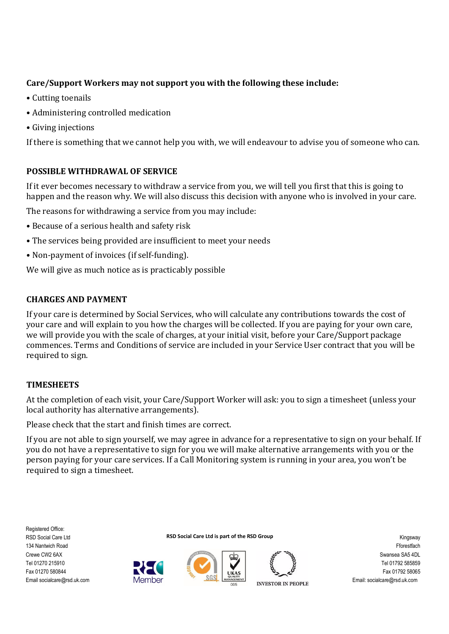# **Care/Support Workers may not support you with the following these include:**

- Cutting toenails
- Administering controlled medication
- Giving injections

If there is something that we cannot help you with, we will endeavour to advise you of someone who can.

## **POSSIBLE WITHDRAWAL OF SERVICE**

If it ever becomes necessary to withdraw a service from you, we will tell you first that this is going to happen and the reason why. We will also discuss this decision with anyone who is involved in your care.

The reasons for withdrawing a service from you may include:

- Because of a serious health and safety risk
- The services being provided are insufficient to meet your needs
- Non-payment of invoices (if self-funding).

We will give as much notice as is practicably possible

## **CHARGES AND PAYMENT**

If your care is determined by Social Services, who will calculate any contributions towards the cost of your care and will explain to you how the charges will be collected. If you are paying for your own care, we will provide you with the scale of charges, at your initial visit, before your Care/Support package commences. Terms and Conditions of service are included in your Service User contract that you will be required to sign.

# **TIMESHEETS**

At the completion of each visit, your Care/Support Worker will ask: you to sign a timesheet (unless your local authority has alternative arrangements).

Please check that the start and finish times are correct.

Member

If you are not able to sign yourself, we may agree in advance for a representative to sign on your behalf. If you do not have a representative to sign for you we will make alternative arrangements with you or the person paying for your care services. If a Call Monitoring system is running in your area, you won't be required to sign a timesheet.

Registered Office: RSD Social Care Ltd 134 Nantwich Road Crewe CW2 6AX Tel 01270 215910 Fax 01270 580844 Email socialcare@rsd.uk.com







**INVESTOR IN PEOPLE**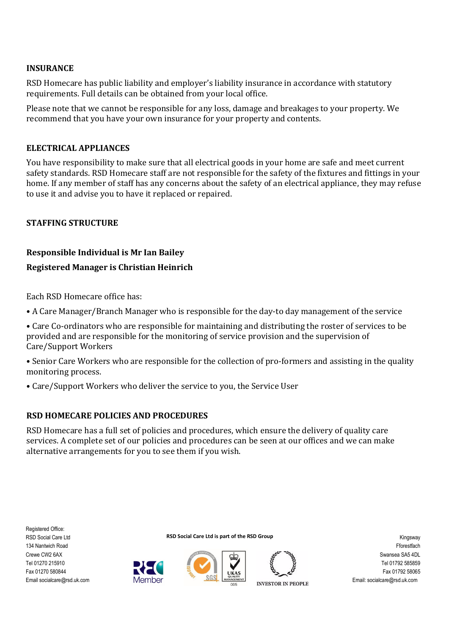### **INSURANCE**

RSD Homecare has public liability and employer's liability insurance in accordance with statutory requirements. Full details can be obtained from your local office.

Please note that we cannot be responsible for any loss, damage and breakages to your property. We recommend that you have your own insurance for your property and contents.

### **ELECTRICAL APPLIANCES**

You have responsibility to make sure that all electrical goods in your home are safe and meet current safety standards. RSD Homecare staff are not responsible for the safety of the fixtures and fittings in your home. If any member of staff has any concerns about the safety of an electrical appliance, they may refuse to use it and advise you to have it replaced or repaired.

## **STAFFING STRUCTURE**

### **Responsible Individual is Mr Ian Bailey**

### **Registered Manager is Christian Heinrich**

Each RSD Homecare office has:

- A Care Manager/Branch Manager who is responsible for the day-to day management of the service
- Care Co-ordinators who are responsible for maintaining and distributing the roster of services to be provided and are responsible for the monitoring of service provision and the supervision of Care/Support Workers
- Senior Care Workers who are responsible for the collection of pro-formers and assisting in the quality monitoring process.
- Care/Support Workers who deliver the service to you, the Service User

Member

#### **RSD HOMECARE POLICIES AND PROCEDURES**

RSD Homecare has a full set of policies and procedures, which ensure the delivery of quality care services. A complete set of our policies and procedures can be seen at our offices and we can make alternative arrangements for you to see them if you wish.







**INVESTOR IN PEOPLE**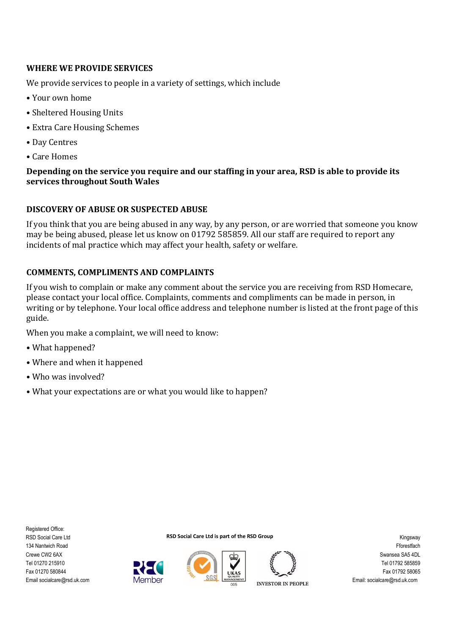## **WHERE WE PROVIDE SERVICES**

We provide services to people in a variety of settings, which include

- Your own home
- Sheltered Housing Units
- Extra Care Housing Schemes
- Day Centres
- Care Homes

## **Depending on the service you require and our staffing in your area, RSD is able to provide its services throughout South Wales**

## **DISCOVERY OF ABUSE OR SUSPECTED ABUSE**

If you think that you are being abused in any way, by any person, or are worried that someone you know may be being abused, please let us know on 01792 585859. All our staff are required to report any incidents of mal practice which may affect your health, safety or welfare.

## **COMMENTS, COMPLIMENTS AND COMPLAINTS**

If you wish to complain or make any comment about the service you are receiving from RSD Homecare, please contact your local office. Complaints, comments and compliments can be made in person, in writing or by telephone. Your local office address and telephone number is listed at the front page of this guide.

When you make a complaint, we will need to know:

- What happened?
- Where and when it happened
- Who was involved?
- What your expectations are or what you would like to happen?

Member

Registered Office: RSD Social Care Ltd 134 Nantwich Road Crewe CW2 6AX Tel 01270 215910 Fax 01270 580844 Email socialcare@rsd.uk.com







**INVESTOR IN PEOPLE**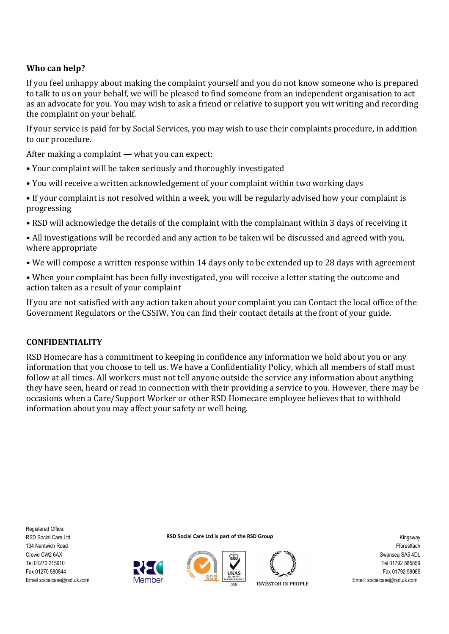# **Who can help?**

If you feel unhappy about making the complaint yourself and you do not know someone who is prepared to talk to us on your behalf, we will be pleased to find someone from an independent organisation to act as an advocate for you. You may wish to ask a friend or relative to support you wit writing and recording the complaint on your behalf.

If your service is paid for by Social Services, you may wish to use their complaints procedure, in addition to our procedure.

After making a complaint — what you can expect:

- Your complaint will be taken seriously and thoroughly investigated
- You will receive a written acknowledgement of your complaint within two working days
- If your complaint is not resolved within a week, you will be regularly advised how your complaint is progressing
- RSD will acknowledge the details of the complaint with the complainant within 3 days of receiving it
- All investigations will be recorded and any action to be taken wil be discussed and agreed with you, where appropriate
- We will compose a written response within 14 days only to be extended up to 28 days with agreement
- When your complaint has been fully investigated, you will receive a letter stating the outcome and action taken as a result of your complaint

If you are not satisfied with any action taken about your complaint you can Contact the local office of the Government Regulators or the CSSIW. You can find their contact details at the front of your guide.

## **CONFIDENTIALITY**

RSD Homecare has a commitment to keeping in confidence any information we hold about you or any information that you choose to tell us. We have a Confidentiality Policy, which all members of staff must follow at all times. All workers must not tell anyone outside the service any information about anything they have seen, heard or read in connection with their providing a service to you. However, there may be occasions when a Care/Support Worker or other RSD Homecare employee believes that to withhold information about you may affect your safety or well being.

Registered Office: RSD Social Care Ltd 134 Nantwich Road Crewe CW2 6AX Tel 01270 215910 Fax 01270 580844 Email socialcare@rsd.uk.com

**RSD Social Care Ltd is part of the RSD Group** 



Member



**INVESTOR IN PEOPLE**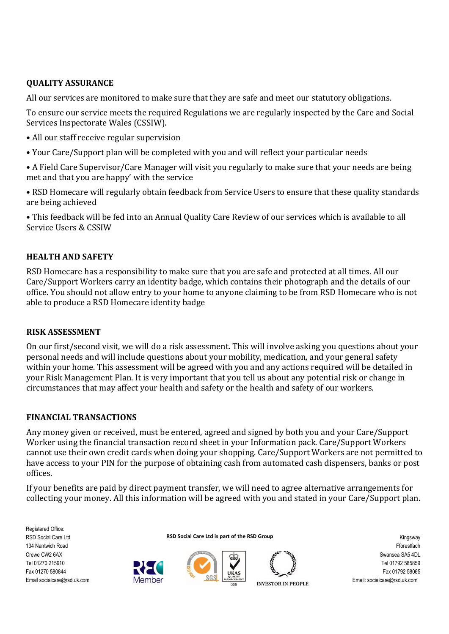# **QUALITY ASSURANCE**

All our services are monitored to make sure that they are safe and meet our statutory obligations.

To ensure our service meets the required Regulations we are regularly inspected by the Care and Social Services Inspectorate Wales (CSSIW).

- All our staff receive regular supervision
- Your Care/Support plan will be completed with you and will reflect your particular needs
- A Field Care Supervisor/Care Manager will visit you regularly to make sure that your needs are being met and that you are happy' with the service
- RSD Homecare will regularly obtain feedback from Service Users to ensure that these quality standards are being achieved

• This feedback will be fed into an Annual Quality Care Review of our services which is available to all Service Users & CSSIW

## **HEALTH AND SAFETY**

RSD Homecare has a responsibility to make sure that you are safe and protected at all times. All our Care/Support Workers carry an identity badge, which contains their photograph and the details of our office. You should not allow entry to your home to anyone claiming to be from RSD Homecare who is not able to produce a RSD Homecare identity badge

## **RISK ASSESSMENT**

On our first/second visit, we will do a risk assessment. This will involve asking you questions about your personal needs and will include questions about your mobility, medication, and your general safety within your home. This assessment will be agreed with you and any actions required will be detailed in your Risk Management Plan. It is very important that you tell us about any potential risk or change in circumstances that may affect your health and safety or the health and safety of our workers.

## **FINANCIAL TRANSACTIONS**

Any money given or received, must be entered, agreed and signed by both you and your Care/Support Worker using the financial transaction record sheet in your Information pack. Care/Support Workers cannot use their own credit cards when doing your shopping. Care/Support Workers are not permitted to have access to your PIN for the purpose of obtaining cash from automated cash dispensers, banks or post offices.

If your benefits are paid by direct payment transfer, we will need to agree alternative arrangements for collecting your money. All this information will be agreed with you and stated in your Care/Support plan.

Registered Office: RSD Social Care Ltd 134 Nantwich Road Crewe CW2 6AX Tel 01270 215910 Fax 01270 580844 Email socialcare@rsd.uk.com

**RSD Social Care Ltd is part of the RSD Group** 



Member



**INVESTOR IN PEOPLE**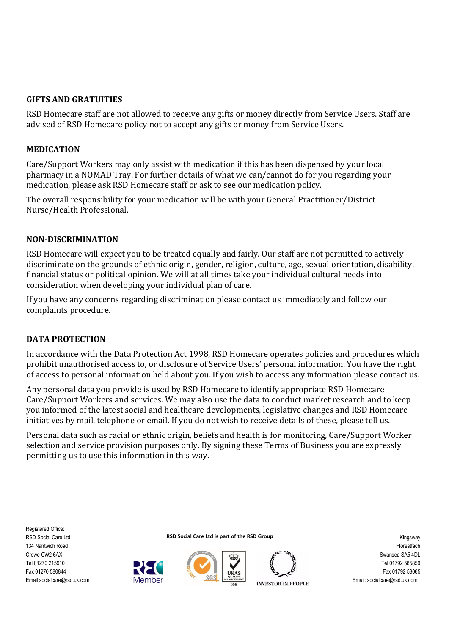## **GIFTS AND GRATUITIES**

RSD Homecare staff are not allowed to receive any gifts or money directly from Service Users. Staff are advised of RSD Homecare policy not to accept any gifts or money from Service Users.

### **MEDICATION**

Care/Support Workers may only assist with medication if this has been dispensed by your local pharmacy in a NOMAD Tray. For further details of what we can/cannot do for you regarding your medication, please ask RSD Homecare staff or ask to see our medication policy.

The overall responsibility for your medication will be with your General Practitioner/District Nurse/Health Professional.

### **NON-DISCRIMINATION**

RSD Homecare will expect you to be treated equally and fairly. Our staff are not permitted to actively discriminate on the grounds of ethnic origin, gender, religion, culture, age, sexual orientation, disability, financial status or political opinion. We will at all times take your individual cultural needs into consideration when developing your individual plan of care.

If you have any concerns regarding discrimination please contact us immediately and follow our complaints procedure.

#### **DATA PROTECTION**

In accordance with the Data Protection Act 1998, RSD Homecare operates policies and procedures which prohibit unauthorised access to, or disclosure of Service Users' personal information. You have the right of access to personal information held about you. If you wish to access any information please contact us.

Any personal data you provide is used by RSD Homecare to identify appropriate RSD Homecare Care/Support Workers and services. We may also use the data to conduct market research and to keep you informed of the latest social and healthcare developments, legislative changes and RSD Homecare initiatives by mail, telephone or email. If you do not wish to receive details of these, please tell us.

Personal data such as racial or ethnic origin, beliefs and health is for monitoring, Care/Support Worker selection and service provision purposes only. By signing these Terms of Business you are expressly permitting us to use this information in this way.

Registered Office: RSD Social Care Ltd 134 Nantwich Road Crewe CW2 6AX Tel 01270 215910 Fax 01270 580844 Email socialcare@rsd.uk.com





Member



**INVESTOR IN PEOPLE**